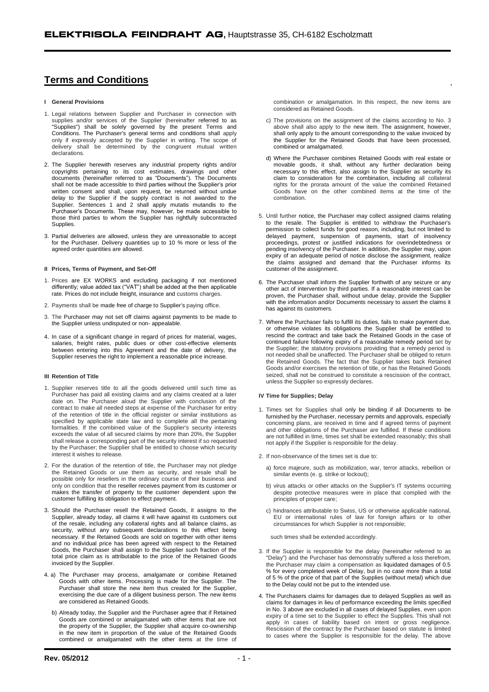# **Terms and Conditions**

## **I General Provisions**

- 1. Legal relations between Supplier and Purchaser in connection with supplies and/or services of the Supplier (hereinafter referred to as "Supplies") shall be solely governed by the present Terms and Conditions. The Purchaser's general terms and conditions shall apply only if expressly accepted by the Supplier in writing. The scope of delivery shall be determined by the congruent mutual written declarations.
- 2. The Supplier herewith reserves any industrial property rights and/or copyrights pertaining to its cost estimates, drawings and other documents (hereinafter referred to as "Documents"). The Documents shall not be made accessible to third parties without the Supplier's prior written consent and shall, upon request, be returned without undue delay to the Supplier if the supply contract is not awarded to the Supplier. Sentences 1 and 2 shall apply mutatis mutandis to the Purchaser's Documents. These may, however, be made accessible to those third parties to whom the Supplier has rightfully subcontracted **Supplies**
- 3. Partial deliveries are allowed, unless they are unreasonable to accept for the Purchaser. Delivery quantities up to 10 % more or less of the agreed order quantities are allowed.

#### **II Prices, Terms of Payment, and Set-Off**

- 1. Prices are EX WORKS and excluding packaging if not mentioned differently; value added tax ("VAT") shall be added at the then applicable rate. Prices do not include freight, insurance and customs charges.
- 2. Payments shall be made free of charge to Supplier's paying office.
- 3. The Purchaser may not set off claims against payments to be made to the Supplier unless undisputed or non- appealable.
- 4. In case of a significant change in regard of prices for material, wages, salaries, freight rates, public dues or other cost-effective elements between entering into this Agreement and the date of delivery, the Supplier reserves the right to implement a reasonable price increase.

#### **III Retention of Title**

- 1. Supplier reserves title to all the goods delivered until such time as Purchaser has paid all existing claims and any claims created at a later date on. The Purchaser aloud the Supplier with conclusion of the contract to make all needed steps at expense of the Purchaser for entry of the retention of title in the official register or similar institutions as specified by applicable state law and to complete all the pertaining formalities. If the combined value of the Supplier's security interests exceeds the value of all secured claims by more than 20%, the Supplier shall release a corresponding part of the security interest if so requested by the Purchaser; the Supplier shall be entitled to choose which security interest it wishes to release.
- 2. For the duration of the retention of title, the Purchaser may not pledge the Retained Goods or use them as security, and resale shall be possible only for resellers in the ordinary course of their business and only on condition that the reseller receives payment from its customer or makes the transfer of property to the customer dependent upon the customer fulfilling its obligation to effect payment.
- 3. Should the Purchaser resell the Retained Goods, it assigns to the Supplier, already today, all claims it will have against its customers out of the resale, including any collateral rights and all balance claims, as security, without any subsequent declarations to this effect being necessary. If the Retained Goods are sold on together with other items and no individual price has been agreed with respect to the Retained Goods, the Purchaser shall assign to the Supplier such fraction of the total price claim as is attributable to the price of the Retained Goods invoiced by the Supplier.
- 4. a) The Purchaser may process, amalgamate or combine Retained Goods with other items. Processing is made for the Supplier. The Purchaser shall store the new item thus created for the Supplier, exercising the due care of a diligent business person. The new items are considered as Retained Goods.
	- b) Already today, the Supplier and the Purchaser agree that if Retained Goods are combined or amalgamated with other items that are not the property of the Supplier, the Supplier shall acquire co-ownership in the new item in proportion of the value of the Retained Goods combined or amalgamated with the other items at the time of

combination or amalgamation. In this respect, the new items are considered as Retained Goods.

- c) The provisions on the assignment of the claims according to No. 3 above shall also apply to the new item. The assignment, however, shall only apply to the amount corresponding to the value invoiced by the Supplier for the Retained Goods that have been processed, combined or amalgamated.
- d) Where the Purchaser combines Retained Goods with real estate or movable goods, it shall, without any further declaration being necessary to this effect, also assign to the Supplier as security its claim to consideration for the combination, including all collateral rights for the prorata amount of the value the combined Retained Goods have on the other combined items at the time of the combination.
- 5. Until further notice, the Purchaser may collect assigned claims relating to the resale. The Supplier is entitled to withdraw the Purchaser's permission to collect funds for good reason, including, but not limited to delayed payment, suspension of payments, start of insolvency proceedings, protest or justified indications for overindebtedness or pending insolvency of the Purchaser. In addition, the Supplier may, upon expiry of an adequate period of notice disclose the assignment, realize the claims assigned and demand that the Purchaser informs its customer of the assignment.
- 6. The Purchaser shall inform the Supplier forthwith of any seizure or any other act of intervention by third parties. If a reasonable interest can be proven, the Purchaser shall, without undue delay, provide the Supplier with the information and/or Documents necessary to assert the claims it has against its customers.
- 7. Where the Purchaser fails to fulfill its duties, fails to make payment due, or otherwise violates its obligations the Supplier shall be entitled to rescind the contract and take back the Retained Goods in the case of continued failure following expiry of a reasonable remedy period set by the Supplier; the statutory provisions providing that a remedy period is not needed shall be unaffected. The Purchaser shall be obliged to return the Retained Goods. The fact that the Supplier takes back Retained Goods and/or exercises the retention of title, or has the Retained Goods seized, shall not be construed to constitute a rescission of the contract, unless the Supplier so expressly declares.

#### **IV Time for Supplies; Delay**

- 1. Times set for Supplies shall only be binding if all Documents to be furnished by the Purchaser, necessary permits and approvals, especially concerning plans, are received in time and if agreed terms of payment and other obligations of the Purchaser are fulfilled. If these conditions are not fulfilled in time, times set shall be extended reasonably; this shall not apply if the Supplier is responsible for the delay.
- 2. If non-observance of the times set is due to:
	- a) force majeure, such as mobilization, war, terror attacks, rebellion or similar events (e. g. strike or lockout);
	- b) virus attacks or other attacks on the Supplier's IT systems occurring despite protective measures were in place that complied with the principles of proper care;
	- c) hindrances attributable to Swiss, US or otherwise applicable national, EU or international rules of law for foreign affairs or to other circumstances for which Supplier is not responsible;

such times shall be extended accordingly.

- 3. If the Supplier is responsible for the delay (hereinafter referred to as "Delay") and the Purchaser has demonstrably suffered a loss therefrom, the Purchaser may claim a compensation as liquidated damages of 0.5 % for every completed week of Delay, but in no case more than a total of 5 % of the price of that part of the Supplies (without metal) which due to the Delay could not be put to the intended use.
- 4. The Purchasers claims for damages due to delayed Supplies as well as claims for damages in lieu of performance exceeding the limits specified in No. 3 above are excluded in all cases of delayed Supplies, even upon expiry of a time set to the Supplier to effect the Supplies. This shall not apply in cases of liability based on intent or gross negligence. Rescission of the contract by the Purchaser based on statute is limited to cases where the Supplier is responsible for the delay. The above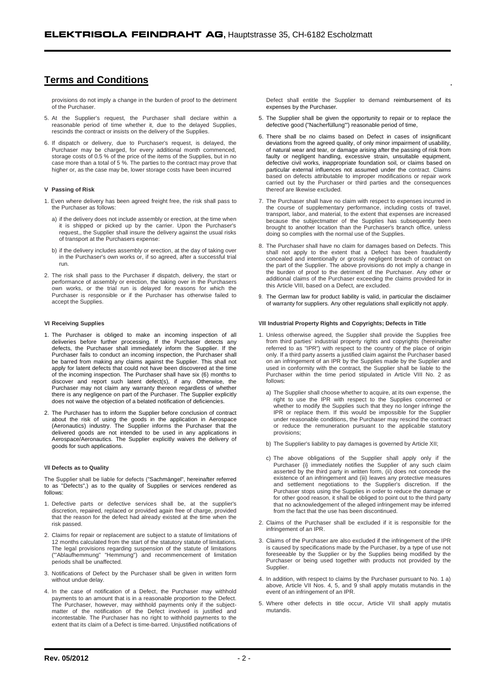# **Terms and Conditions**

provisions do not imply a change in the burden of proof to the detriment of the Purchaser.

- 5. At the Supplier's request, the Purchaser shall declare within a reasonable period of time whether it, due to the delayed Supplies, rescinds the contract or insists on the delivery of the Supplies.
- 6. If dispatch or delivery, due to Purchaser's request, is delayed, the Purchaser may be charged, for every additional month commenced, storage costs of 0.5 % of the price of the items of the Supplies, but in no case more than a total of 5 %. The parties to the contract may prove that higher or, as the case may be, lower storage costs have been incurred

## **V Passing of Risk**

- 1. Even where delivery has been agreed freight free, the risk shall pass to the Purchaser as follows:
	- a) if the delivery does not include assembly or erection, at the time when it is shipped or picked up by the carrier. Upon the Purchaser's request,, the Supplier shall insure the delivery against the usual risks of transport at the Purchasers expense:
	- b) if the delivery includes assembly or erection, at the day of taking over in the Purchaser's own works or, if so agreed, after a successful trial run.
- 2. The risk shall pass to the Purchaser if dispatch, delivery, the start or performance of assembly or erection, the taking over in the Purchasers own works, or the trial run is delayed for reasons for which the Purchaser is responsible or if the Purchaser has otherwise failed to accept the Supplies.

## **VI Receiving Supplies**

- 1. The Purchaser is obliged to make an incoming inspection of all deliveries before further processing. If the Purchaser detects any defects, the Purchaser shall immediately inform the Supplier. If the Purchaser fails to conduct an incoming inspection, the Purchaser shall be barred from making any claims against the Supplier. This shall not apply for latent defects that could not have been discovered at the time of the incoming inspection. The Purchaser shall have six (6) months to discover and report such latent defect(s), if any. Otherwise, the Purchaser may not claim any warranty thereon regardless of whether there is any negligence on part of the Purchaser. The Supplier explicitly does not waive the objection of a belated notification of deficiencies.
- 2. The Purchaser has to inform the Supplier before conclusion of contract about the risk of using the goods in the application in Aerospace (Aeronautics) industry. The Supplier informs the Purchaser that the delivered goods are not intended to be used in any applications in Aerospace/Aeronautics. The Supplier explicitly waives the delivery of goods for such applications.

#### **Defects as to Quality**

The Supplier shall be liable for defects ("Sachmängel", hereinafter referred to as "Defects",) as to the quality of Supplies or services rendered as follows:

- 1. Defective parts or defective services shall be, at the supplier's discretion, repaired, replaced or provided again free of charge, provided that the reason for the defect had already existed at the time when the risk passed.
- 2. Claims for repair or replacement are subject to a statute of limitations of 12 months calculated from the start of the statutory statute of limitations. The legal provisions regarding suspension of the statute of limitations ("'Ablaufhemmung" "Hemmung") and recommencement of limitation periods shall be unaffected.
- 3. Notifications of Defect by the Purchaser shall be given in written form without undue delay
- 4. In the case of notification of a Defect, the Purchaser may withhold payments to an amount that is in a reasonable proportion to the Defect. The Purchaser, however, may withhold payments only if the subjectmatter of the notification of the Defect involved is justified and incontestable. The Purchaser has no right to withhold payments to the extent that its claim of a Defect is time-barred. Unjustified notifications of

Defect shall entitle the Supplier to demand reimbursement of its expenses by the Purchaser.

- 5. The Supplier shall be given the opportunity to repair or to replace the defective good ("Nacherfüllung'") reasonable period of time,
- 6. There shall be no claims based on Defect in cases of insignificant deviations from the agreed quality, of only minor impairment of usability, of natural wear and tear, or damage arising after the passing of risk from faulty or negligent handling, excessive strain, unsuitable equipment, defective civil works, inappropriate foundation soil, or claims based on particular external influences not assumed under the contract. Claims based on defects attributable to improper modifications or repair work carried out by the Purchaser or third parties and the consequences thereof are likewise excluded.
- 7. The Purchaser shall have no claim with respect to expenses incurred in the course of supplementary performance, including costs of travel, transport, labor, and material, to the extent that expenses are increased because the subjectmatter of the Supplies has subsequently been brought to another location than the Purchaser's branch office, unless doing so complies with the normal use of the Supplies.
- 8. The Purchaser shall have no claim for damages based on Defects. This shall not apply to the extent that a Defect has been fraudulently concealed and intentionally or grossly negligent breach of contract on the part of the Supplier. The above provisions do not imply a change in the burden of proof to the detriment of the Purchaser. Any other or additional claims of the Purchaser exceeding the claims provided for in this Article VIII, based on a Defect, are excluded.
- 9. The German law for product liability is valid, in particular the disclaimer of warranty for suppliers. Any other regulations shall explicitly not apply.

#### **Industrial Property Rights and Copyrights; Defects in Title**

- 1. Unless otherwise agreed, the Supplier shall provide the Supplies free from third parties' industrial property rights and copyrights (hereinafter referred to as "IPR") with respect to the country of the place of origin only. If a third party asserts a justified claim against the Purchaser based on an infringement of an IPR by the Supplies made by the Supplier and used in conformity with the contract, the Supplier shall be liable to the Purchaser within the time period stipulated in Article VIII No. 2 as follows:
	- a) The Supplier shall choose whether to acquire, at its own expense, the right to use the IPR with respect to the Supplies concerned or whether to modify the Supplies such that they no longer infringe the IPR or replace them. If this would be impossible for the Supplier under reasonable conditions, the Purchaser may rescind the contract or reduce the remuneration pursuant to the applicable statutory provisions;
	- b) The Supplier's liability to pay damages is governed by Article XII;
	- c) The above obligations of the Supplier shall apply only if the Purchaser {i} immediately notifies the Supplier of any such claim asserted by the third party in written form, (ii) does not concede the existence of an infringement and (iii) leaves any protective measures and settlement negotiations to the Supplier's discretion. If the Purchaser stops using the Supplies in order to reduce the damage or for other good reason, it shall be obliged to point out to the third party that no acknowledgement of the alleged infringement may be inferred from the fact that the use has been discontinued.
- 2. Claims of the Purchaser shall be excluded if it is responsible for the infringement of an IPR.
- 3. Claims of the Purchaser are also excluded if the infringement of the IPR is caused by specifications made by the Purchaser, by a type of use not foreseeable by the Supplier or by the Supplies being modified by the Purchaser or being used together with products not provided by the Supplier.
- 4. In addition, with respect to claims by the Purchaser pursuant to No. 1 a) above, Article VII Nos. 4, 5, and 9 shall apply mutatis mutandis in the event of an infringement of an IPR.
- 5. Where other defects in title occur, Article VII shall apply mutatis mutandis.